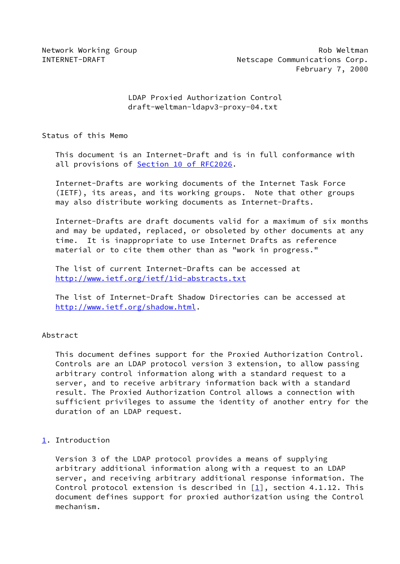LDAP Proxied Authorization Control draft-weltman-ldapv3-proxy-04.txt

Status of this Memo

 This document is an Internet-Draft and is in full conformance with all provisions of Section [10 of RFC2026.](https://datatracker.ietf.org/doc/pdf/rfc2026#section-10)

 Internet-Drafts are working documents of the Internet Task Force (IETF), its areas, and its working groups. Note that other groups may also distribute working documents as Internet-Drafts.

 Internet-Drafts are draft documents valid for a maximum of six months and may be updated, replaced, or obsoleted by other documents at any time. It is inappropriate to use Internet Drafts as reference material or to cite them other than as "work in progress."

 The list of current Internet-Drafts can be accessed at <http://www.ietf.org/ietf/1id-abstracts.txt>

 The list of Internet-Draft Shadow Directories can be accessed at <http://www.ietf.org/shadow.html>.

## Abstract

 This document defines support for the Proxied Authorization Control. Controls are an LDAP protocol version 3 extension, to allow passing arbitrary control information along with a standard request to a server, and to receive arbitrary information back with a standard result. The Proxied Authorization Control allows a connection with sufficient privileges to assume the identity of another entry for the duration of an LDAP request.

## <span id="page-0-0"></span>[1](#page-0-0). Introduction

 Version 3 of the LDAP protocol provides a means of supplying arbitrary additional information along with a request to an LDAP server, and receiving arbitrary additional response information. The Control protocol extension is described in  $[1]$  $[1]$ , section 4.1.12. This document defines support for proxied authorization using the Control mechanism.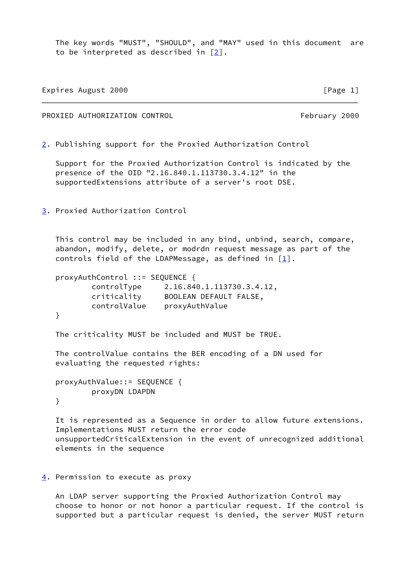The key words "MUST", "SHOULD", and "MAY" used in this document are to be interpreted as described in  $[2]$  $[2]$ .

Expires August 2000 **and Expires** August 2000

PROXIED AUTHORIZATION CONTROL **FEDROXIED** AUTHORIZATION CONTROL

<span id="page-1-0"></span>[2](#page-1-0). Publishing support for the Proxied Authorization Control

 Support for the Proxied Authorization Control is indicated by the presence of the OID "2.16.840.1.113730.3.4.12" in the supportedExtensions attribute of a server's root DSE.

<span id="page-1-1"></span>[3](#page-1-1). Proxied Authorization Control

 This control may be included in any bind, unbind, search, compare, abandon, modify, delete, or modrdn request message as part of the controls field of the LDAPMessage, as defined in  $\lceil \frac{1}{2} \rceil$ .

 proxyAuthControl ::= SEQUENCE { controlType 2.16.840.1.113730.3.4.12, criticality BOOLEAN DEFAULT FALSE, controlValue proxyAuthValue }

The criticality MUST be included and MUST be TRUE.

 The controlValue contains the BER encoding of a DN used for evaluating the requested rights:

 proxyAuthValue::= SEQUENCE { proxyDN LDAPDN

}

 It is represented as a Sequence in order to allow future extensions. Implementations MUST return the error code unsupportedCriticalExtension in the event of unrecognized additional elements in the sequence

## <span id="page-1-2"></span>[4](#page-1-2). Permission to execute as proxy

 An LDAP server supporting the Proxied Authorization Control may choose to honor or not honor a particular request. If the control is supported but a particular request is denied, the server MUST return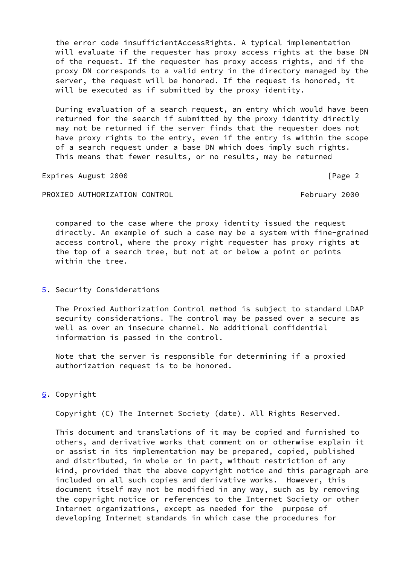the error code insufficientAccessRights. A typical implementation will evaluate if the requester has proxy access rights at the base DN of the request. If the requester has proxy access rights, and if the proxy DN corresponds to a valid entry in the directory managed by the server, the request will be honored. If the request is honored, it will be executed as if submitted by the proxy identity.

 During evaluation of a search request, an entry which would have been returned for the search if submitted by the proxy identity directly may not be returned if the server finds that the requester does not have proxy rights to the entry, even if the entry is within the scope of a search request under a base DN which does imply such rights. This means that fewer results, or no results, may be returned

Expires August 2000 **and Expires** August 2000

## PROXIED AUTHORIZATION CONTROL **FROXIED February 2000**

 compared to the case where the proxy identity issued the request directly. An example of such a case may be a system with fine-grained access control, where the proxy right requester has proxy rights at the top of a search tree, but not at or below a point or points within the tree.

<span id="page-2-0"></span>[5](#page-2-0). Security Considerations

 The Proxied Authorization Control method is subject to standard LDAP security considerations. The control may be passed over a secure as well as over an insecure channel. No additional confidential information is passed in the control.

 Note that the server is responsible for determining if a proxied authorization request is to be honored.

<span id="page-2-1"></span>[6](#page-2-1). Copyright

Copyright (C) The Internet Society (date). All Rights Reserved.

 This document and translations of it may be copied and furnished to others, and derivative works that comment on or otherwise explain it or assist in its implementation may be prepared, copied, published and distributed, in whole or in part, without restriction of any kind, provided that the above copyright notice and this paragraph are included on all such copies and derivative works. However, this document itself may not be modified in any way, such as by removing the copyright notice or references to the Internet Society or other Internet organizations, except as needed for the purpose of developing Internet standards in which case the procedures for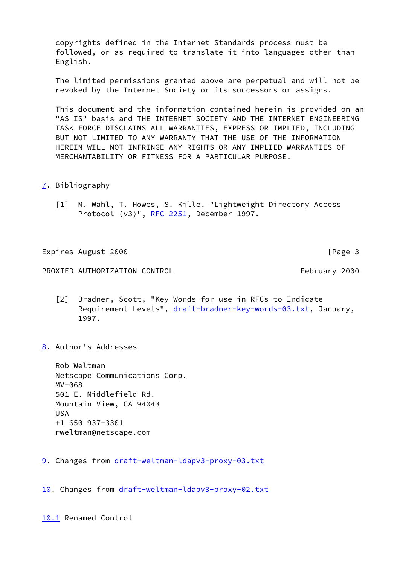copyrights defined in the Internet Standards process must be followed, or as required to translate it into languages other than English.

 The limited permissions granted above are perpetual and will not be revoked by the Internet Society or its successors or assigns.

 This document and the information contained herein is provided on an "AS IS" basis and THE INTERNET SOCIETY AND THE INTERNET ENGINEERING TASK FORCE DISCLAIMS ALL WARRANTIES, EXPRESS OR IMPLIED, INCLUDING BUT NOT LIMITED TO ANY WARRANTY THAT THE USE OF THE INFORMATION HEREIN WILL NOT INFRINGE ANY RIGHTS OR ANY IMPLIED WARRANTIES OF MERCHANTABILITY OR FITNESS FOR A PARTICULAR PURPOSE.

- <span id="page-3-2"></span><span id="page-3-0"></span>[7](#page-3-2). Bibliography
	- [1] M. Wahl, T. Howes, S. Kille, "Lightweight Directory Access Protocol (v3)", [RFC 2251](https://datatracker.ietf.org/doc/pdf/rfc2251), December 1997.

Expires August 2000 **and Expires** August 2000

PROXIED AUTHORIZATION CONTROL **February 2000** 

- <span id="page-3-1"></span> [2] Bradner, Scott, "Key Words for use in RFCs to Indicate Requirement Levels", [draft-bradner-key-words-03.txt](https://datatracker.ietf.org/doc/pdf/draft-bradner-key-words-03.txt), January, 1997.
- <span id="page-3-3"></span>[8](#page-3-3). Author's Addresses

 Rob Weltman Netscape Communications Corp. MV-068 501 E. Middlefield Rd. Mountain View, CA 94043 USA +1 650 937-3301 rweltman@netscape.com

<span id="page-3-4"></span>[9](#page-3-4). Changes from [draft-weltman-ldapv3-proxy-03.txt](https://datatracker.ietf.org/doc/pdf/draft-weltman-ldapv3-proxy-03.txt)

<span id="page-3-5"></span>[10.](#page-3-5) Changes from [draft-weltman-ldapv3-proxy-02.txt](https://datatracker.ietf.org/doc/pdf/draft-weltman-ldapv3-proxy-02.txt)

<span id="page-3-6"></span>[10.1](#page-3-6) Renamed Control